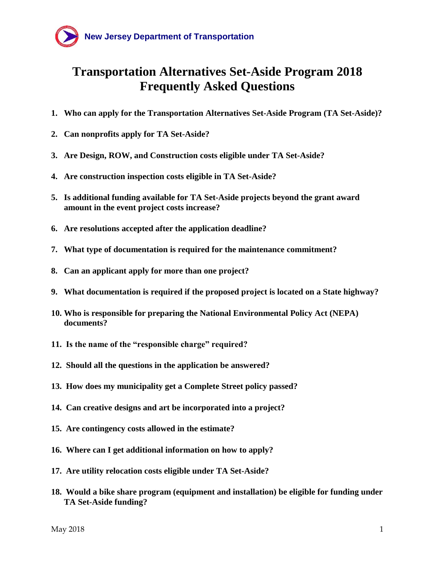

# <span id="page-0-0"></span>**Transportation Alternatives Set-Aside Program 2018 Frequently Asked Questions**

- **1. [Who can apply for the Transportation Alternatives Set-Aside Program](#page-1-0) (TA Set-Aside)?**
- **2. [Can nonprofits apply for TA Set-Aside?](#page-2-0)**
- **3. [Are Design, ROW, and Construction costs eligible under TA Set-Aside?](#page-2-1)**
- **4. Are [construction inspection costs eligible](#page-2-2) in TA Set-Aside?**
- **5. [Is additional funding available for TA Set-Aside](#page-3-0) projects beyond the grant award [amount in the event project costs increase?](#page-3-0)**
- **6. [Are resolutions accepted after the application deadline?](#page-3-1)**
- **7. [What type of documentation is required for the](#page-3-2) maintenance commitment?**
- **8. Can [an applicant apply for more than one project?](#page-3-3)**
- **9. [What documentation is required if the proposed project is located on a State highway?](#page-3-4)**
- **10. [Who is responsible for preparing the National Environmental Policy](#page-3-5) Act (NEPA) [documents?](#page-3-5)**
- **11. [Is the name of the "responsible charge" required?](#page-3-6)**
- **12. [Should all the questions in the application be answered?](#page-4-0)**
- **13. [How does my municipality get a Complete Street policy passed?](#page-4-1)**
- **14. [Can creative designs and art be incorporated into a project?](#page-5-0)**
- **15. [Are contingency costs allowed in the estimate?](#page-5-1)**
- **16. [Where can I get additional information on how to apply?](#page-5-2)**
- **17. [Are utility relocation costs eligible under TA Set-Aside?](#page-5-3)**
- **18. [Would a bike share program \(equipment and installation\) be eligible for funding under](#page-5-4)  [TA Set-Aside](#page-5-4) funding?**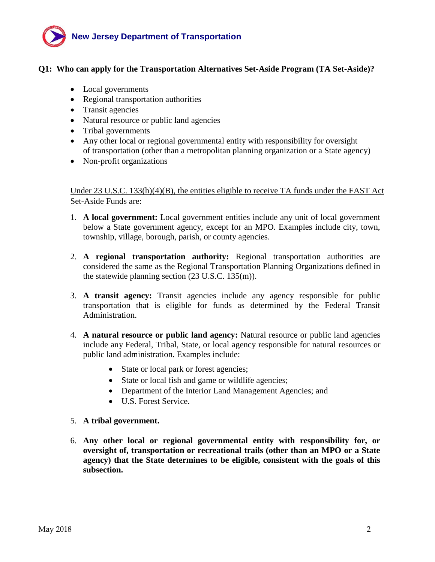

# <span id="page-1-0"></span>**Q1: Who can apply for the Transportation Alternatives Set-Aside Program (TA Set-Aside)?**

- Local governments
- Regional transportation authorities
- Transit agencies
- Natural resource or public land agencies
- Tribal governments
- Any other local or regional governmental entity with responsibility for oversight of transportation (other than a metropolitan planning organization or a State agency)
- Non-profit organizations

Under 23 U.S.C.  $133(h)(4)(B)$ , the entities eligible to receive TA funds under the FAST Act Set-Aside Funds are:

- 1. **A local government:** Local government entities include any unit of local government below a State government agency, except for an MPO. Examples include city, town, township, village, borough, parish, or county agencies.
- 2. **A regional transportation authority:** Regional transportation authorities are considered the same as the Regional Transportation Planning Organizations defined in the statewide planning section (23 U.S.C. 135(m)).
- 3. **A transit agency:** Transit agencies include any agency responsible for public transportation that is eligible for funds as determined by the Federal Transit Administration.
- 4. **A natural resource or public land agency:** Natural resource or public land agencies include any Federal, Tribal, State, or local agency responsible for natural resources or public land administration. Examples include:
	- State or local park or forest agencies;
	- State or local fish and game or wildlife agencies;
	- Department of the Interior Land Management Agencies; and
	- U.S. Forest Service.
- 5. **A tribal government.**
- 6. **Any other local or regional governmental entity with responsibility for, or oversight of, transportation or recreational trails (other than an MPO or a State agency) that the State determines to be eligible, consistent with the goals of this subsection.**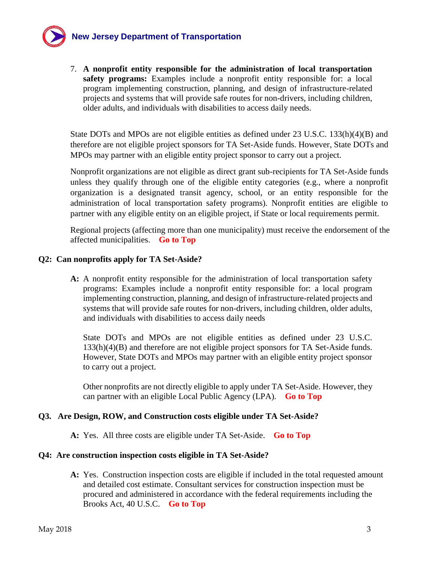# **New Jersey Department of Transportation**

7. **A nonprofit entity responsible for the administration of local transportation safety programs:** Examples include a nonprofit entity responsible for: a local program implementing construction, planning, and design of infrastructure-related projects and systems that will provide safe routes for non-drivers, including children, older adults, and individuals with disabilities to access daily needs.

State DOTs and MPOs are not eligible entities as defined under 23 U.S.C. 133(h)(4)(B) and therefore are not eligible project sponsors for TA Set-Aside funds. However, State DOTs and MPOs may partner with an eligible entity project sponsor to carry out a project.

Nonprofit organizations are not eligible as direct grant sub-recipients for TA Set-Aside funds unless they qualify through one of the eligible entity categories (e.g., where a nonprofit organization is a designated transit agency, school, or an entity responsible for the administration of local transportation safety programs). Nonprofit entities are eligible to partner with any eligible entity on an eligible project, if State or local requirements permit.

Regional projects (affecting more than one municipality) must receive the endorsement of the affected municipalities. **[Go to Top](#page-0-0)**

# <span id="page-2-0"></span>**Q2: Can nonprofits apply for TA Set-Aside?**

**A:** A nonprofit entity responsible for the administration of local transportation safety programs: Examples include a nonprofit entity responsible for: a local program implementing construction, planning, and design of infrastructure-related projects and systems that will provide safe routes for non-drivers, including children, older adults, and individuals with disabilities to access daily needs

State DOTs and MPOs are not eligible entities as defined under 23 U.S.C. 133(h)(4)(B) and therefore are not eligible project sponsors for TA Set-Aside funds. However, State DOTs and MPOs may partner with an eligible entity project sponsor to carry out a project.

Other nonprofits are not directly eligible to apply under TA Set-Aside. However, they can partner with an eligible Local Public Agency (LPA). **[Go to Top](#page-0-0)**

# <span id="page-2-1"></span>**Q3. Are Design, ROW, and Construction costs eligible under TA Set-Aside?**

**A:** Yes. All three costs are eligible under TA Set-Aside. **[Go to Top](#page-0-0)**

# <span id="page-2-2"></span>**Q4: Are construction inspection costs eligible in TA Set-Aside?**

**A:** Yes. Construction inspection costs are eligible if included in the total requested amount and detailed cost estimate. Consultant services for construction inspection must be procured and administered in accordance with the federal requirements including the Brooks Act, 40 U.S.C. **[Go to Top](#page-0-0)**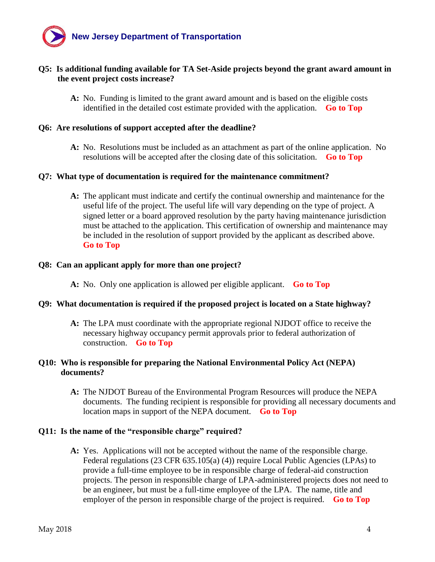

# <span id="page-3-0"></span>**Q5: Is additional funding available for TA Set-Aside projects beyond the grant award amount in the event project costs increase?**

**A:** No. Funding is limited to the grant award amount and is based on the eligible costs identified in the detailed cost estimate provided with the application. **[Go to Top](#page-0-0)**

#### <span id="page-3-1"></span>**Q6: Are resolutions of support accepted after the deadline?**

**A:** No. Resolutions must be included as an attachment as part of the online application. No resolutions will be accepted after the closing date of this solicitation. **[Go to Top](#page-0-0)**

#### <span id="page-3-2"></span>**Q7: What type of documentation is required for the maintenance commitment?**

**A:** The applicant must indicate and certify the continual ownership and maintenance for the useful life of the project. The useful life will vary depending on the type of project. A signed letter or a board approved resolution by the party having maintenance jurisdiction must be attached to the application. This certification of ownership and maintenance may be included in the resolution of support provided by the applicant as described above. **[Go to Top](#page-0-0)**

#### <span id="page-3-3"></span>**Q8: Can an applicant apply for more than one project?**

**A:** No. Only one application is allowed per eligible applicant. **[Go to Top](#page-0-0)**

#### <span id="page-3-4"></span>**Q9: What documentation is required if the proposed project is located on a State highway?**

**A:** The LPA must coordinate with the appropriate regional NJDOT office to receive the necessary highway occupancy permit approvals prior to federal authorization of construction. **[Go to Top](#page-0-0)**

#### <span id="page-3-5"></span>**Q10: Who is responsible for preparing the National Environmental Policy Act (NEPA) documents?**

**A:** The NJDOT Bureau of the Environmental Program Resources will produce the NEPA documents. The funding recipient is responsible for providing all necessary documents and location maps in support of the NEPA document. **[Go to Top](#page-0-0)**

#### <span id="page-3-6"></span>**Q11: Is the name of the "responsible charge" required?**

**A:** Yes. Applications will not be accepted without the name of the responsible charge. Federal regulations (23 CFR 635.105(a) (4)) require Local Public Agencies (LPAs) to provide a full-time employee to be in responsible charge of federal-aid construction projects. The person in responsible charge of LPA-administered projects does not need to be an engineer, but must be a full-time employee of the LPA. The name, title and employer of the person in responsible charge of the project is required. **[Go to Top](#page-0-0)**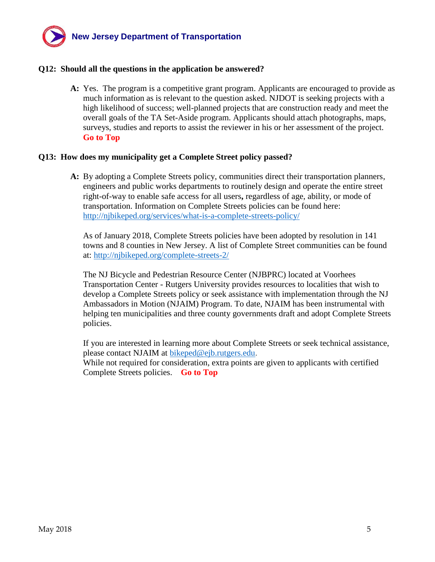

#### <span id="page-4-0"></span>**Q12: Should all the questions in the application be answered?**

**A:** Yes.The program is a competitive grant program. Applicants are encouraged to provide as much information as is relevant to the question asked. NJDOT is seeking projects with a high likelihood of success; well-planned projects that are construction ready and meet the overall goals of the TA Set-Aside program. Applicants should attach photographs, maps, surveys, studies and reports to assist the reviewer in his or her assessment of the project. **[Go to Top](#page-0-0)**

#### <span id="page-4-1"></span>**Q13: How does my municipality get a Complete Street policy passed?**

**A:** By adopting a Complete Streets policy, communities direct their transportation planners, engineers and public works departments to routinely design and operate the entire street right-of-way to enable safe access for all users**,** regardless of age, ability, or mode of transportation. Information on Complete Streets policies can be found here: <http://njbikeped.org/services/what-is-a-complete-streets-policy/>

As of January 2018, Complete Streets policies have been adopted by resolution in 141 towns and 8 counties in New Jersey. A list of Complete Street communities can be found at:<http://njbikeped.org/complete-streets-2/>

The NJ Bicycle and Pedestrian Resource Center (NJBPRC) located at Voorhees Transportation Center - Rutgers University provides resources to localities that wish to develop a Complete Streets policy or seek assistance with implementation through the NJ Ambassadors in Motion (NJAIM) Program. To date, NJAIM has been instrumental with helping ten municipalities and three county governments draft and adopt Complete Streets policies.

If you are interested in learning more about Complete Streets or seek technical assistance, please contact NJAIM at [bikeped@ejb.rutgers.edu.](mailto:bike@ejb.rutgers.edu)

While not required for consideration, extra points are given to applicants with certified Complete Streets policies. **[Go to Top](#page-0-0)**